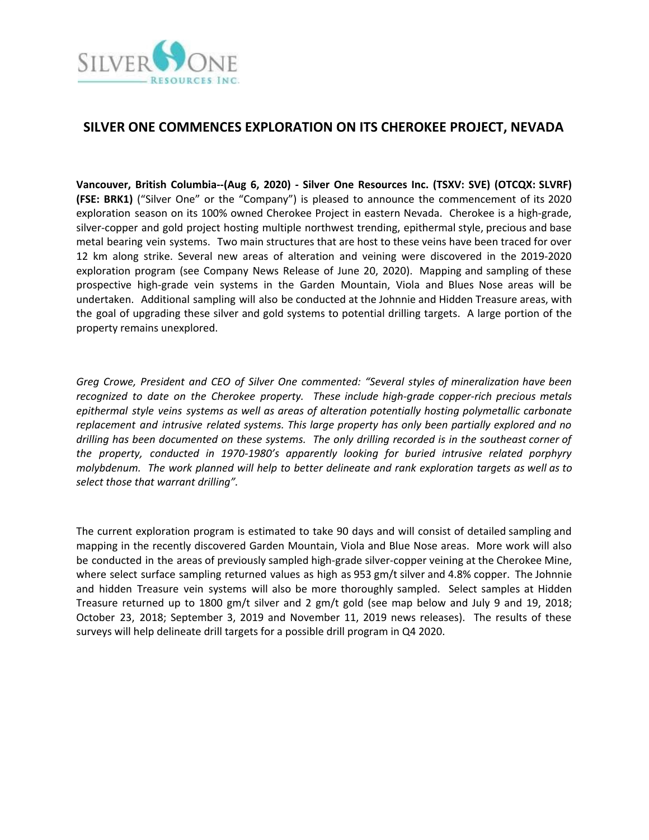

# **SILVER ONE COMMENCES EXPLORATION ON ITS CHEROKEE PROJECT, NEVADA**

**Vancouver, British Columbia--(Aug 6, 2020) - Silver One Resources Inc. (TSXV: SVE) (OTCQX: SLVRF) (FSE: BRK1)** ("Silver One" or the "Company") is pleased to announce the commencement of its 2020 exploration season on its 100% owned Cherokee Project in eastern Nevada. Cherokee is a high-grade, silver-copper and gold project hosting multiple northwest trending, epithermal style, precious and base metal bearing vein systems. Two main structures that are host to these veins have been traced for over 12 km along strike. Several new areas of alteration and veining were discovered in the 2019-2020 exploration program (see Company News Release of June 20, 2020). Mapping and sampling of these prospective high-grade vein systems in the Garden Mountain, Viola and Blues Nose areas will be undertaken. Additional sampling will also be conducted at the Johnnie and Hidden Treasure areas, with the goal of upgrading these silver and gold systems to potential drilling targets. A large portion of the property remains unexplored.

*Greg Crowe, President and CEO of Silver One commented: "Several styles of mineralization have been recognized to date on the Cherokee property. These include high-grade copper-rich precious metals epithermal style veins systems as well as areas of alteration potentially hosting polymetallic carbonate replacement and intrusive related systems. This large property has only been partially explored and no drilling has been documented on these systems. The only drilling recorded is in the southeast corner of the property, conducted in 1970-1980's apparently looking for buried intrusive related porphyry molybdenum. The work planned will help to better delineate and rank exploration targets as well as to select those that warrant drilling".*

The current exploration program is estimated to take 90 days and will consist of detailed sampling and mapping in the recently discovered Garden Mountain, Viola and Blue Nose areas. More work will also be conducted in the areas of previously sampled high-grade silver-copper veining at the Cherokee Mine, where select surface sampling returned values as high as 953 gm/t silver and 4.8% copper. The Johnnie and hidden Treasure vein systems will also be more thoroughly sampled. Select samples at Hidden Treasure returned up to 1800 gm/t silver and 2 gm/t gold (see map below and July 9 and 19, 2018; October 23, 2018; September 3, 2019 and November 11, 2019 news releases). The results of these surveys will help delineate drill targets for a possible drill program in Q4 2020.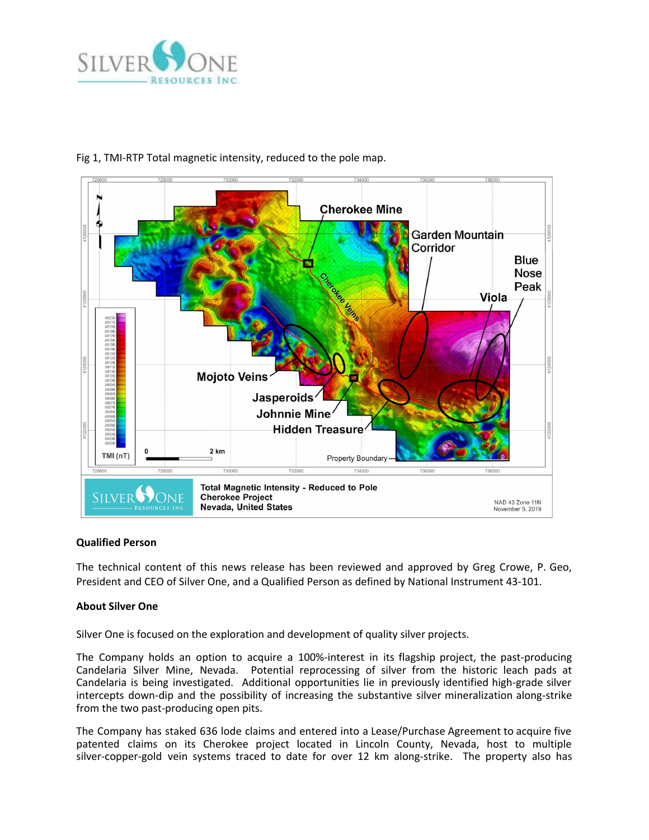



# Fig 1, TMI-RTP Total magnetic intensity, reduced to the pole map.

## **Qualified Person**

The technical content of this news release has been reviewed and approved by Greg Crowe, P. Geo, President and CEO of Silver One, and a Qualified Person as defined by National Instrument 43-101.

## **About Silver One**

Silver One is focused on the exploration and development of quality silver projects.

The Company holds an option to acquire a 100%-interest in its flagship project, the past-producing Candelaria Silver Mine, Nevada. Potential reprocessing of silver from the historic leach pads at Candelaria is being investigated. Additional opportunities lie in previously identified high-grade silver intercepts down-dip and the possibility of increasing the substantive silver mineralization along-strike from the two past-producing open pits.

The Company has staked 636 lode claims and entered into a Lease/Purchase Agreement to acquire five patented claims on its Cherokee project located in Lincoln County, Nevada, host to multiple silver-copper-gold vein systems traced to date for over 12 km along-strike. The property also has